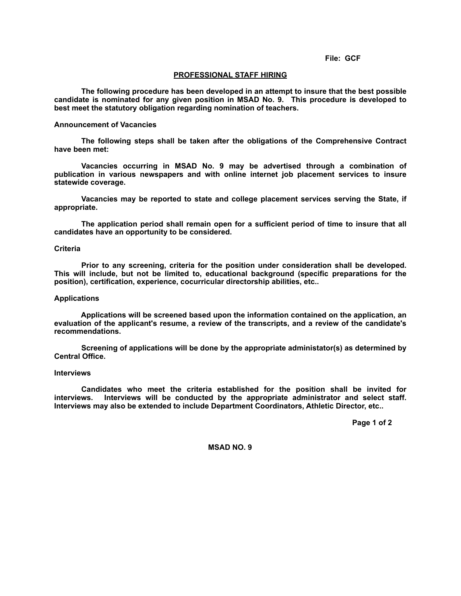#### **File: GCF**

### **PROFESSIONAL STAFF HIRING**

 **The following procedure has been developed in an attempt to insure that the best possible candidate is nominated for any given position in MSAD No. 9. This procedure is developed to best meet the statutory obligation regarding nomination of teachers.**

### **Announcement of Vacancies**

 **The following steps shall be taken after the obligations of the Comprehensive Contract have been met:**

 **Vacancies occurring in MSAD No. 9 may be advertised through a combination of publication in various newspapers and with online internet job placement services to insure statewide coverage.**

 **Vacancies may be reported to state and college placement services serving the State, if appropriate.**

 **The application period shall remain open for a sufficient period of time to insure that all candidates have an opportunity to be considered.**

### **Criteria**

 **Prior to any screening, criteria for the position under consideration shall be developed. This will include, but not be limited to, educational background (specific preparations for the position), certification, experience, cocurricular directorship abilities, etc..**

## **Applications**

 **Applications will be screened based upon the information contained on the application, an evaluation of the applicant's resume, a review of the transcripts, and a review of the candidate's recommendations.**

 **Screening of applications will be done by the appropriate administator(s) as determined by Central Office.**

## **Interviews**

 **Candidates who meet the criteria established for the position shall be invited for interviews. Interviews will be conducted by the appropriate administrator and select staff. Interviews may also be extended to include Department Coordinators, Athletic Director, etc..**

 **Page 1 of 2**

**MSAD NO. 9**